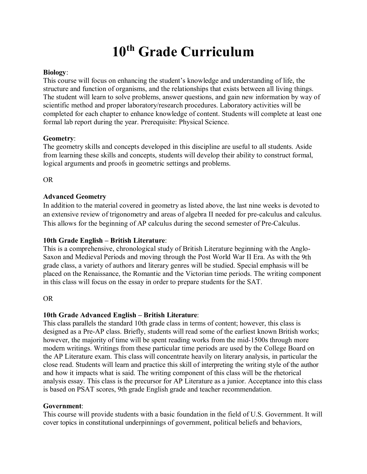# **10th Grade Curriculum**

#### **Biology**:

This course will focus on enhancing the student's knowledge and understanding of life, the structure and function of organisms, and the relationships that exists between all living things. The student will learn to solve problems, answer questions, and gain new information by way of scientific method and proper laboratory/research procedures. Laboratory activities will be completed for each chapter to enhance knowledge of content. Students will complete at least one formal lab report during the year. Prerequisite: Physical Science.

#### **Geometry**:

The geometry skills and concepts developed in this discipline are useful to all students. Aside from learning these skills and concepts, students will develop their ability to construct formal, logical arguments and proofs in geometric settings and problems.

#### OR

## **Advanced Geometry**

In addition to the material covered in geometry as listed above, the last nine weeks is devoted to an extensive review of trigonometry and areas of algebra II needed for pre-calculus and calculus. This allows for the beginning of AP calculus during the second semester of Pre-Calculus.

## **10th Grade English – British Literature**:

This is a comprehensive, chronological study of British Literature beginning with the Anglo-Saxon and Medieval Periods and moving through the Post World War II Era. As with the 9th grade class, a variety of authors and literary genres will be studied. Special emphasis will be placed on the Renaissance, the Romantic and the Victorian time periods. The writing component in this class will focus on the essay in order to prepare students for the SAT.

## OR

## **10th Grade Advanced English – British Literature**:

This class parallels the standard 10th grade class in terms of content; however, this class is designed as a Pre-AP class. Briefly, students will read some of the earliest known British works; however, the majority of time will be spent reading works from the mid-1500s through more modern writings. Writings from these particular time periods are used by the College Board on the AP Literature exam. This class will concentrate heavily on literary analysis, in particular the close read. Students will learn and practice this skill of interpreting the writing style of the author and how it impacts what is said. The writing component of this class will be the rhetorical analysis essay. This class is the precursor for AP Literature as a junior. Acceptance into this class is based on PSAT scores, 9th grade English grade and teacher recommendation.

#### **Government**:

This course will provide students with a basic foundation in the field of U.S. Government. It will cover topics in constitutional underpinnings of government, political beliefs and behaviors,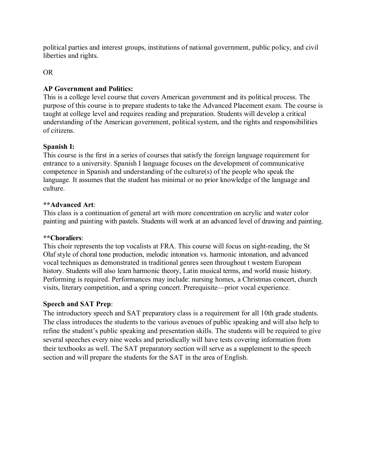political parties and interest groups, institutions of national government, public policy, and civil liberties and rights.

## OR

## **AP Government and Politics:**

This is a college level course that covers American government and its political process. The purpose of this course is to prepare students to take the Advanced Placement exam. The course is taught at college level and requires reading and preparation. Students will develop a critical understanding of the American government, political system, and the rights and responsibilities of citizens.

## **Spanish I:**

This course is the first in a series of courses that satisfy the foreign language requirement for entrance to a university. Spanish I language focuses on the development of communicative competence in Spanish and understanding of the culture(s) of the people who speak the language. It assumes that the student has minimal or no prior knowledge of the language and culture.

#### **\*\*Advanced Art**:

This class is a continuation of general art with more concentration on acrylic and water color painting and painting with pastels. Students will work at an advanced level of drawing and painting.

#### **\*\*Choraliers**:

This choir represents the top vocalists at FRA. This course will focus on sight-reading, the St Olaf style of choral tone production, melodic intonation vs. harmonic intonation, and advanced vocal techniques as demonstrated in traditional genres seen throughout t western European history. Students will also learn harmonic theory, Latin musical terms, and world music history. Performing is required. Performances may include: nursing homes, a Christmas concert, church visits, literary competition, and a spring concert. Prerequisite—prior vocal experience.

## **Speech and SAT Prep**:

The introductory speech and SAT preparatory class is a requirement for all 10th grade students. The class introduces the students to the various avenues of public speaking and will also help to refine the student's public speaking and presentation skills. The students will be required to give several speeches every nine weeks and periodically will have tests covering information from their textbooks as well. The SAT preparatory section will serve as a supplement to the speech section and will prepare the students for the SAT in the area of English.